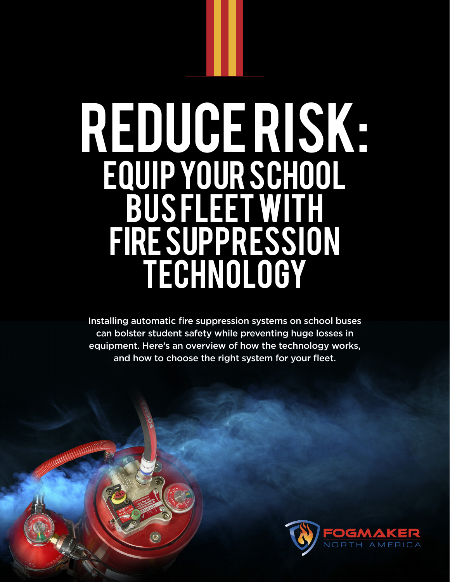# REDUCERISK: Equip Your School Bus Fleet With Fire Suppression TECHNOLOGY

Installing automatic fire suppression systems on school buses can bolster student safety while preventing huge losses in equipment. Here's an overview of how the technology works, and how to choose the right system for your fleet.

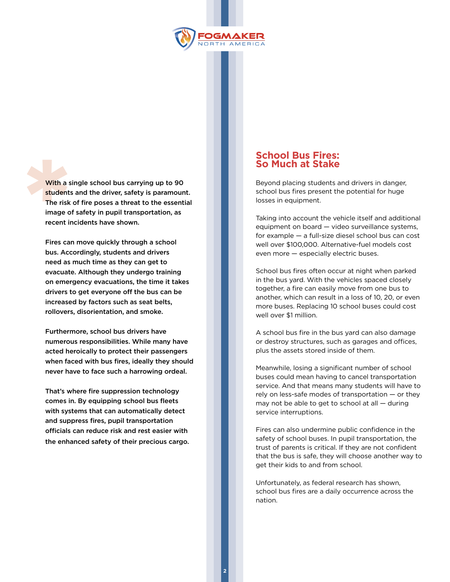

With a single school bus carrying up to 90 students and the driver, safety is paramount. The risk of fire poses a threat to the essential image of safety in pupil transportation, as With a s<br>student recent incidents have shown.

> Fires can move quickly through a school bus. Accordingly, students and drivers need as much time as they can get to evacuate. Although they undergo training on emergency evacuations, the time it takes drivers to get everyone off the bus can be increased by factors such as seat belts, rollovers, disorientation, and smoke.

Furthermore, school bus drivers have numerous responsibilities. While many have acted heroically to protect their passengers when faced with bus fires, ideally they should never have to face such a harrowing ordeal.

That's where fire suppression technology comes in. By equipping school bus fleets with systems that can automatically detect and suppress fires, pupil transportation officials can reduce risk and rest easier with the enhanced safety of their precious cargo.

### **School Bus Fires: So Much at Stake**

Beyond placing students and drivers in danger, school bus fires present the potential for huge losses in equipment.

Taking into account the vehicle itself and additional equipment on board — video surveillance systems, for example — a full-size diesel school bus can cost well over \$100,000. Alternative-fuel models cost even more — especially electric buses.

School bus fires often occur at night when parked in the bus yard. With the vehicles spaced closely together, a fire can easily move from one bus to another, which can result in a loss of 10, 20, or even more buses. Replacing 10 school buses could cost well over \$1 million.

A school bus fire in the bus yard can also damage or destroy structures, such as garages and offices, plus the assets stored inside of them.

Meanwhile, losing a significant number of school buses could mean having to cancel transportation service. And that means many students will have to rely on less-safe modes of transportation — or they may not be able to get to school at all — during service interruptions.

Fires can also undermine public confidence in the safety of school buses. In pupil transportation, the trust of parents is critical. If they are not confident that the bus is safe, they will choose another way to get their kids to and from school.

Unfortunately, as federal research has shown, school bus fires are a daily occurrence across the nation.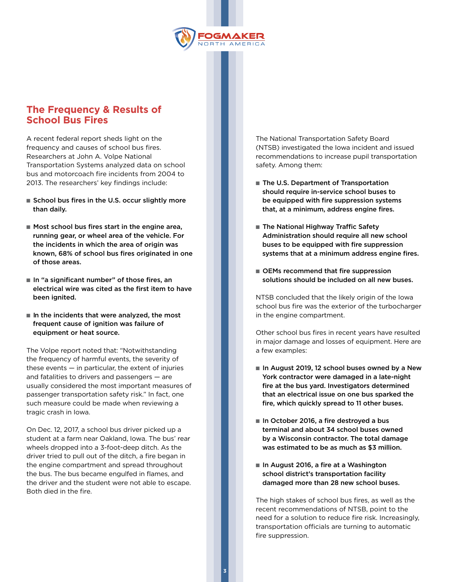

## **The Frequency & Results of School Bus Fires**

A recent federal report sheds light on the frequency and causes of school bus fires. Researchers at John A. Volpe National Transportation Systems analyzed data on school bus and motorcoach fire incidents from 2004 to 2013. The researchers' key findings include:

- School bus fires in the U.S. occur slightly more than daily.
- Most school bus fires start in the engine area, running gear, or wheel area of the vehicle. For the incidents in which the area of origin was known, 68% of school bus fires originated in one of those areas.
- In "a significant number" of those fires, an electrical wire was cited as the first item to have been ignited.
- In the incidents that were analyzed, the most frequent cause of ignition was failure of equipment or heat source.

The Volpe report noted that: "Notwithstanding the frequency of harmful events, the severity of these events  $-$  in particular, the extent of injuries and fatalities to drivers and passengers — are usually considered the most important measures of passenger transportation safety risk." In fact, one such measure could be made when reviewing a tragic crash in Iowa.

On Dec. 12, 2017, a school bus driver picked up a student at a farm near Oakland, Iowa. The bus' rear wheels dropped into a 3-foot-deep ditch. As the driver tried to pull out of the ditch, a fire began in the engine compartment and spread throughout the bus. The bus became engulfed in flames, and the driver and the student were not able to escape. Both died in the fire.

The National Transportation Safety Board (NTSB) investigated the Iowa incident and issued recommendations to increase pupil transportation safety. Among them:

- The U.S. Department of Transportation should require in-service school buses to be equipped with fire suppression systems that, at a minimum, address engine fires.
- The National Highway Traffic Safety Administration should require all new school buses to be equipped with fire suppression systems that at a minimum address engine fires.
- OEMs recommend that fire suppression solutions should be included on all new buses.

NTSB concluded that the likely origin of the Iowa school bus fire was the exterior of the turbocharger in the engine compartment.

Other school bus fires in recent years have resulted in major damage and losses of equipment. Here are a few examples:

- In August 2019, 12 school buses owned by a New York contractor were damaged in a late-night fire at the bus yard. Investigators determined that an electrical issue on one bus sparked the fire, which quickly spread to 11 other buses.
- In October 2016, a fire destroyed a bus terminal and about 34 school buses owned by a Wisconsin contractor. The total damage was estimated to be as much as \$3 million.
- In August 2016, a fire at a Washington school district's transportation facility damaged more than 28 new school buses.

The high stakes of school bus fires, as well as the recent recommendations of NTSB, point to the need for a solution to reduce fire risk. Increasingly, transportation officials are turning to automatic fire suppression.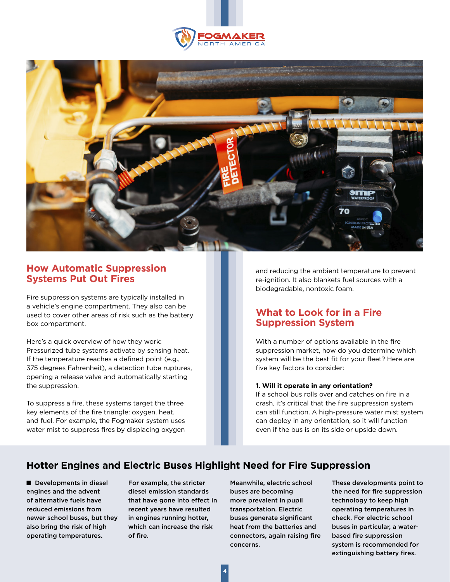



## **How Automatic Suppression Systems Put Out Fires**

Fire suppression systems are typically installed in a vehicle's engine compartment. They also can be used to cover other areas of risk such as the battery box compartment.

Here's a quick overview of how they work: Pressurized tube systems activate by sensing heat. If the temperature reaches a defined point (e.g., 375 degrees Fahrenheit), a detection tube ruptures, opening a release valve and automatically starting the suppression.

To suppress a fire, these systems target the three key elements of the fire triangle: oxygen, heat, and fuel. For example, the Fogmaker system uses water mist to suppress fires by displacing oxygen and reducing the ambient temperature to prevent re-ignition. It also blankets fuel sources with a biodegradable, nontoxic foam.

## **What to Look for in a Fire Suppression System**

With a number of options available in the fire suppression market, how do you determine which system will be the best fit for your fleet? Here are five key factors to consider:

#### **1. Will it operate in any orientation?**

If a school bus rolls over and catches on fire in a crash, it's critical that the fire suppression system can still function. A high-pressure water mist system can deploy in any orientation, so it will function even if the bus is on its side or upside down.

# **Hotter Engines and Electric Buses Highlight Need for Fire Suppression**

■ Developments in diesel engines and the advent of alternative fuels have reduced emissions from newer school buses, but they also bring the risk of high operating temperatures.

For example, the stricter diesel emission standards that have gone into effect in recent years have resulted in engines running hotter, which can increase the risk of fire.

Meanwhile, electric school buses are becoming more prevalent in pupil transportation. Electric buses generate significant heat from the batteries and connectors, again raising fire concerns.

These developments point to the need for fire suppression technology to keep high operating temperatures in check. For electric school buses in particular, a waterbased fire suppression system is recommended for extinguishing battery fires.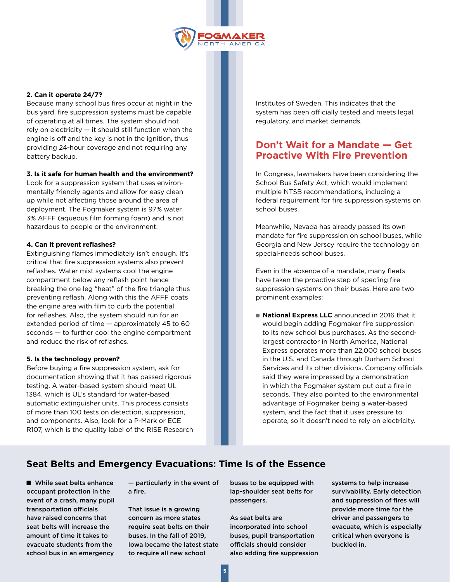

#### **2. Can it operate 24/7?**

Because many school bus fires occur at night in the bus yard, fire suppression systems must be capable of operating at all times. The system should not rely on electricity — it should still function when the engine is off and the key is not in the ignition, thus providing 24-hour coverage and not requiring any battery backup.

#### **3. Is it safe for human health and the environment?**

Look for a suppression system that uses environmentally friendly agents and allow for easy clean up while not affecting those around the area of deployment. The Fogmaker system is 97% water, 3% AFFF (aqueous film forming foam) and is not hazardous to people or the environment.

#### **4. Can it prevent reflashes?**

Extinguishing flames immediately isn't enough. It's critical that fire suppression systems also prevent reflashes. Water mist systems cool the engine compartment below any reflash point hence breaking the one leg "heat" of the fire triangle thus preventing reflash. Along with this the AFFF coats the engine area with film to curb the potential for reflashes. Also, the system should run for an extended period of time — approximately 45 to 60 seconds — to further cool the engine compartment and reduce the risk of reflashes.

#### **5. Is the technology proven?**

Before buying a fire suppression system, ask for documentation showing that it has passed rigorous testing. A water-based system should meet UL 1384, which is UL's standard for water-based automatic extinguisher units. This process consists of more than 100 tests on detection, suppression, and components. Also, look for a P-Mark or ECE R107, which is the quality label of the RISE Research Institutes of Sweden. This indicates that the system has been officially tested and meets legal, regulatory, and market demands.

## **Don't Wait for a Mandate — Get Proactive With Fire Prevention**

In Congress, lawmakers have been considering the School Bus Safety Act, which would implement multiple NTSB recommendations, including a federal requirement for fire suppression systems on school buses.

Meanwhile, Nevada has already passed its own mandate for fire suppression on school buses, while Georgia and New Jersey require the technology on special-needs school buses.

Even in the absence of a mandate, many fleets have taken the proactive step of spec'ing fire suppression systems on their buses. Here are two prominent examples:

■ **National Express LLC** announced in 2016 that it would begin adding Fogmaker fire suppression to its new school bus purchases. As the secondlargest contractor in North America, National Express operates more than 22,000 school buses in the U.S. and Canada through Durham School Services and its other divisions. Company officials said they were impressed by a demonstration in which the Fogmaker system put out a fire in seconds. They also pointed to the environmental advantage of Fogmaker being a water-based system, and the fact that it uses pressure to operate, so it doesn't need to rely on electricity.

## **Seat Belts and Emergency Evacuations: Time Is of the Essence**

■ While seat belts enhance occupant protection in the event of a crash, many pupil transportation officials have raised concerns that seat belts will increase the amount of time it takes to evacuate students from the school bus in an emergency

— particularly in the event of a fire.

That issue is a growing concern as more states require seat belts on their buses. In the fall of 2019, Iowa became the latest state to require all new school

buses to be equipped with lap-shoulder seat belts for passengers.

As seat belts are incorporated into school buses, pupil transportation officials should consider also adding fire suppression systems to help increase survivability. Early detection and suppression of fires will provide more time for the driver and passengers to evacuate, which is especially critical when everyone is buckled in.